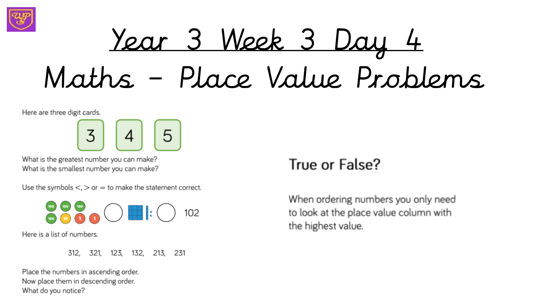

Year 3 Week 3 Day Maths - Place Value Problems

Here are three digit cards.



What is the greatest number you can make? What is the smallest number you can make?

Use the symbols  $\lt$ ,  $>$  or  $=$  to make the statement correct.



Here is a list of numbers.



Place the numbers in ascending order. Now place them in descending order. What do you notice?

## True or False?

When ordering numbers you only need to look at the place value column with the highest value.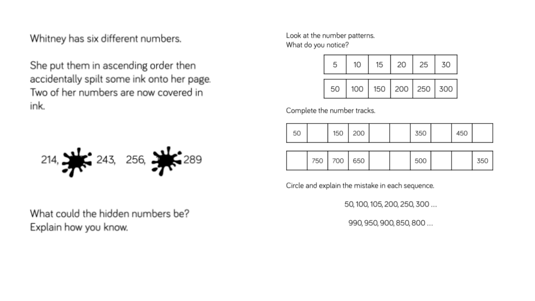Whitney has six different numbers.

She put them in ascending order then accidentally spilt some ink onto her page. Two of her numbers are now covered in ink.



What could the hidden numbers be? Explain how you know.

Look at the number patterns. What do you notice?

| 5  | 10  | 15 | 20 | 25                    | 30 |
|----|-----|----|----|-----------------------|----|
| 50 | 100 |    |    | 150   200   250   300 |    |

Complete the number tracks.

| 200<br>150<br>350<br>50<br>450 |
|--------------------------------|
|--------------------------------|

| 750 700 650 | 350<br>500 |
|-------------|------------|
|-------------|------------|

Circle and explain the mistake in each sequence.

50, 100, 105, 200, 250, 300 ...

990, 950, 900, 850, 800 ...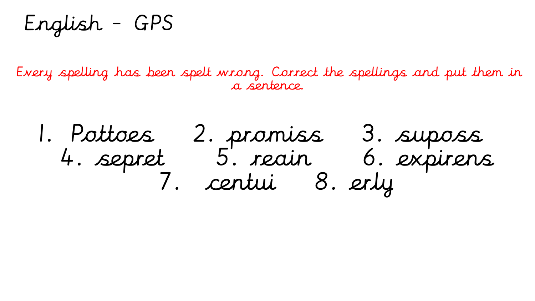English - GPS

Every spelling has been spelt wrong. Correct the spellings and put them in a sentence.

1. Pottoes 2. promiss 3. suposs 4. sepret 5. reain 6. expirens 7. centui 8. erly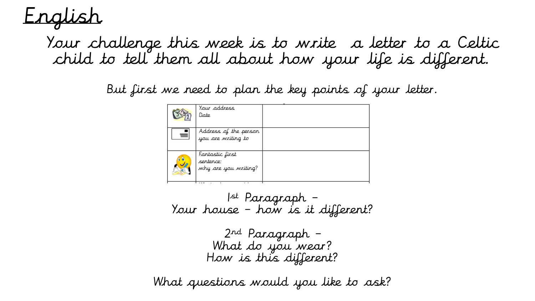

Your challenge this week is to write a letter to a Celtic child to tell them all about how your life is different.

But first we need to plan the key points of your letter.

|     | Your address<br>Date                                                                          |  |
|-----|-----------------------------------------------------------------------------------------------|--|
| $=$ | Address of the person<br>you are writing to                                                   |  |
|     | Fantastic first<br>sentence:<br>why are you writing?<br>1.4.00<br>$-1$<br>٠<br>$\blacksquare$ |  |

1 st Paragraph – Your house – how is it different?

> 2nd Paragraph – What do you wear? How is this different?

What questions would you like to ask?